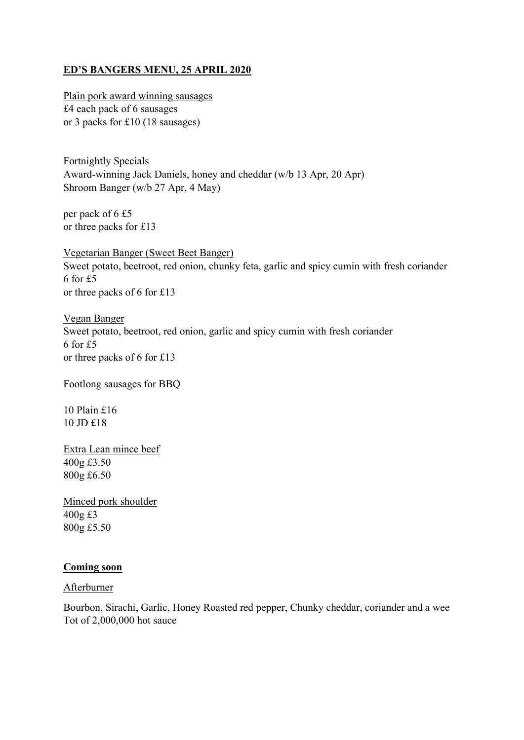## **ED'S BANGERS MENU, 25 APRIL 2020**

Plain pork award winning sausages £4 each pack of 6 sausages or 3 packs for £10 (18 sausages)

Fortnightly Specials Award-winning Jack Daniels, honey and cheddar (w/b 13 Apr, 20 Apr) Shroom Banger (w/b 27 Apr, 4 May)

per pack of 6 £5 or three packs for £13

Vegetarian Banger (Sweet Beet Banger) Sweet potato, beetroot, red onion, chunky feta, garlic and spicy cumin with fresh coriander 6 for £5 or three packs of 6 for £13

Vegan Banger Sweet potato, beetroot, red onion, garlic and spicy cumin with fresh coriander 6 for £5 or three packs of 6 for £13

Footlong sausages for BBQ

10 Plain £16 10 JD £18

Extra Lean mince beef 400g £3.50 800g £6.50

Minced pork shoulder 400g £3 800g £5.50

## **Coming soon**

Afterburner

Bourbon, Sirachi, Garlic, Honey Roasted red pepper, Chunky cheddar, coriander and a wee Tot of 2,000,000 hot sauce